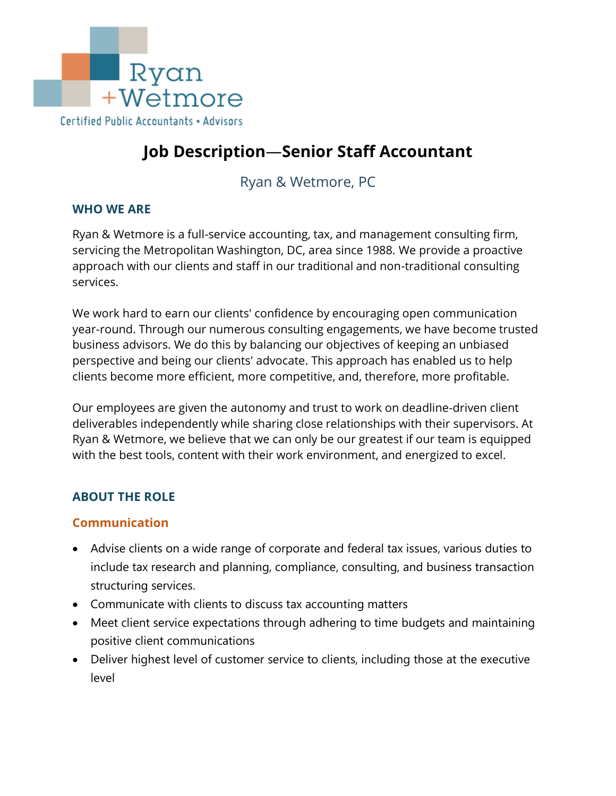

# **Job Description**—**Senior Staff Accountant**

# Ryan & Wetmore, PC

#### **WHO WE ARE**

Ryan & Wetmore is a full-service accounting, tax, and management consulting firm, servicing the Metropolitan Washington, DC, area since 1988. We provide a proactive approach with our clients and staff in our traditional and non-traditional consulting services.

We work hard to earn our clients' confidence by encouraging open communication year-round. Through our numerous consulting engagements, we have become trusted business advisors. We do this by balancing our objectives of keeping an unbiased perspective and being our clients' advocate. This approach has enabled us to help clients become more efficient, more competitive, and, therefore, more profitable.

Our employees are given the autonomy and trust to work on deadline-driven client deliverables independently while sharing close relationships with their supervisors. At Ryan & Wetmore, we believe that we can only be our greatest if our team is equipped with the best tools, content with their work environment, and energized to excel.

#### **ABOUT THE ROLE**

#### **Communication**

- Advise clients on a wide range of corporate and federal tax issues, various duties to include tax research and planning, compliance, consulting, and business transaction structuring services.
- Communicate with clients to discuss tax accounting matters
- Meet client service expectations through adhering to time budgets and maintaining positive client communications
- Deliver highest level of customer service to clients, including those at the executive level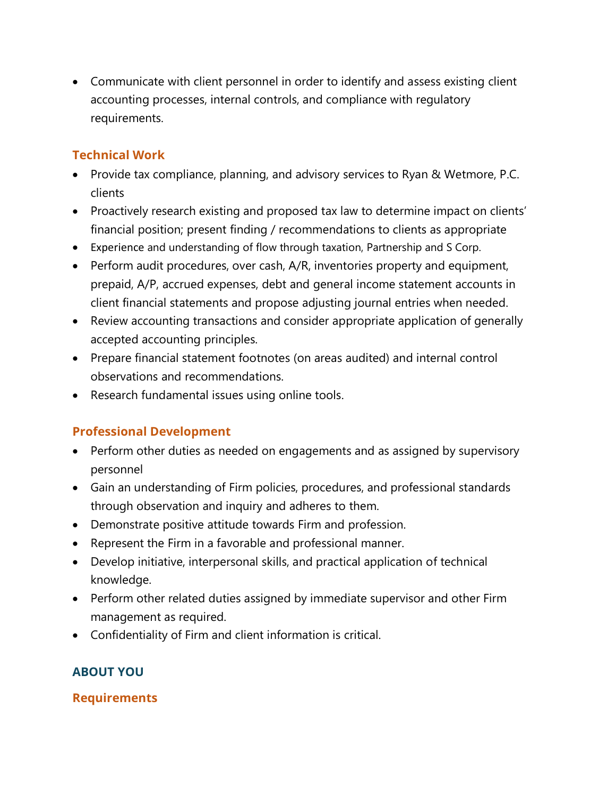• Communicate with client personnel in order to identify and assess existing client accounting processes, internal controls, and compliance with regulatory requirements.

#### **Technical Work**

- Provide tax compliance, planning, and advisory services to Ryan & Wetmore, P.C. clients
- Proactively research existing and proposed tax law to determine impact on clients' financial position; present finding / recommendations to clients as appropriate
- Experience and understanding of flow through taxation, Partnership and S Corp.
- Perform audit procedures, over cash, A/R, inventories property and equipment, prepaid, A/P, accrued expenses, debt and general income statement accounts in client financial statements and propose adjusting journal entries when needed.
- Review accounting transactions and consider appropriate application of generally accepted accounting principles.
- Prepare financial statement footnotes (on areas audited) and internal control observations and recommendations.
- Research fundamental issues using online tools.

#### **Professional Development**

- Perform other duties as needed on engagements and as assigned by supervisory personnel
- Gain an understanding of Firm policies, procedures, and professional standards through observation and inquiry and adheres to them.
- Demonstrate positive attitude towards Firm and profession.
- Represent the Firm in a favorable and professional manner.
- Develop initiative, interpersonal skills, and practical application of technical knowledge.
- Perform other related duties assigned by immediate supervisor and other Firm management as required.
- Confidentiality of Firm and client information is critical.

## **ABOUT YOU**

#### **Requirements**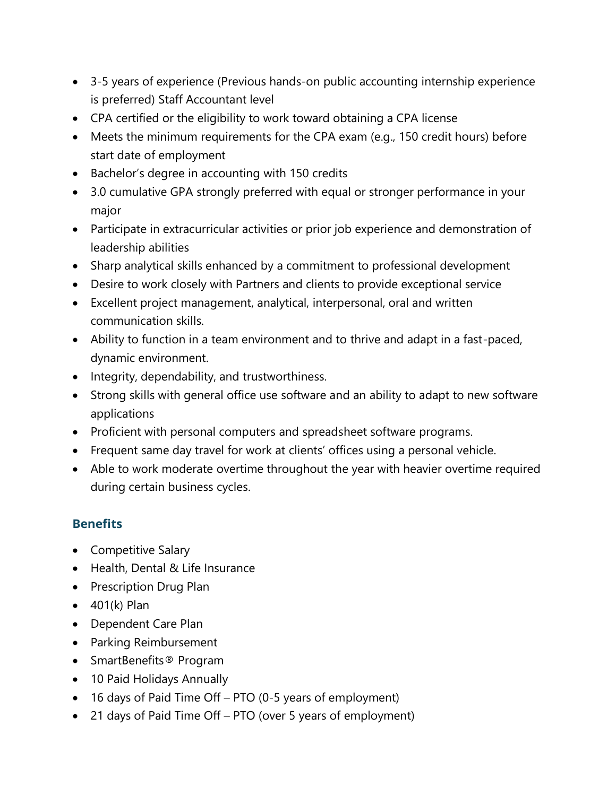- 3-5 years of experience (Previous hands-on public accounting internship experience is preferred) Staff Accountant level
- CPA certified or the eligibility to work toward obtaining a CPA license
- Meets the minimum requirements for the CPA exam (e.g., 150 credit hours) before start date of employment
- Bachelor's degree in accounting with 150 credits
- 3.0 cumulative GPA strongly preferred with equal or stronger performance in your major
- Participate in extracurricular activities or prior job experience and demonstration of leadership abilities
- Sharp analytical skills enhanced by a commitment to professional development
- Desire to work closely with Partners and clients to provide exceptional service
- Excellent project management, analytical, interpersonal, oral and written communication skills.
- Ability to function in a team environment and to thrive and adapt in a fast-paced, dynamic environment.
- Integrity, dependability, and trustworthiness.
- Strong skills with general office use software and an ability to adapt to new software applications
- Proficient with personal computers and spreadsheet software programs.
- Frequent same day travel for work at clients' offices using a personal vehicle.
- Able to work moderate overtime throughout the year with heavier overtime required during certain business cycles.

## **Benefits**

- Competitive Salary
- Health, Dental & Life Insurance
- Prescription Drug Plan
- $\bullet$  401(k) Plan
- Dependent Care Plan
- Parking Reimbursement
- SmartBenefits® Program
- 10 Paid Holidays Annually
- 16 days of Paid Time Off PTO (0-5 years of employment)
- 21 days of Paid Time Off PTO (over 5 years of employment)